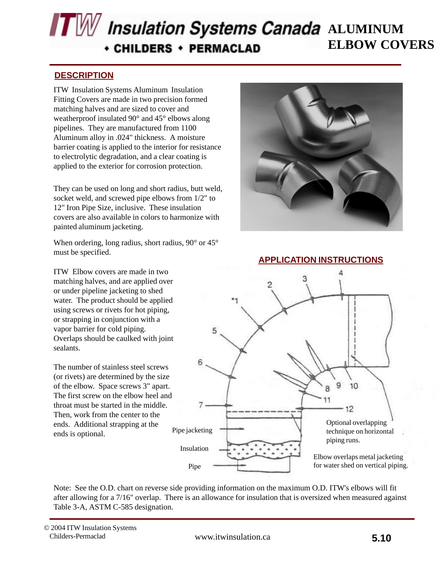# **ALUMINUM** *Insulation Systems Canada* ALUMINUM **ELBOW COVERS CHILDERS + PERMACLAD**

#### **DESCRIPTION**

pipelines. They are manufactured from 1100 ITW Insulation Systems Aluminum Insulation Fitting Covers are made in two precision formed matching halves and are sized to cover and weatherproof insulated 90° and 45° elbows along Aluminum alloy in .024" thickness. A moisture barrier coating is applied to the interior for resistance to electrolytic degradation, and a clear coating is applied to the exterior for corrosion protection.

They can be used on long and short radius, butt weld, socket weld, and screwed pipe elbows from 1/2" to 12" Iron Pipe Size, inclusive. These insulation covers are also available in colors to harmonize with painted aluminum jacketing.

When ordering, long radius, short radius, 90° or 45° must be specified.

ITW Elbow covers are made in two matching halves, and are applied over or under pipeline jacketing to shed water. The product should be applied using screws or rivets for hot piping, or strapping in conjunction with a vapor barrier for cold piping. Overlaps should be caulked with joint sealants.

The number of stainless steel screws (or rivets) are determined by the size of the elbow. Space screws 3" apart. The first screw on the elbow heel and throat must be started in the middle. Then, work from the center to the ends. Additional strapping at the ends is optional.



#### **APPLICATION INSTRUCTIONS**



Note: See the O.D. chart on reverse side providing information on the maximum O.D. ITW's elbows will fit after allowing for a 7/16" overlap. There is an allowance for insulation that is oversized when measured against Table 3-A, ASTM C-585 designation.